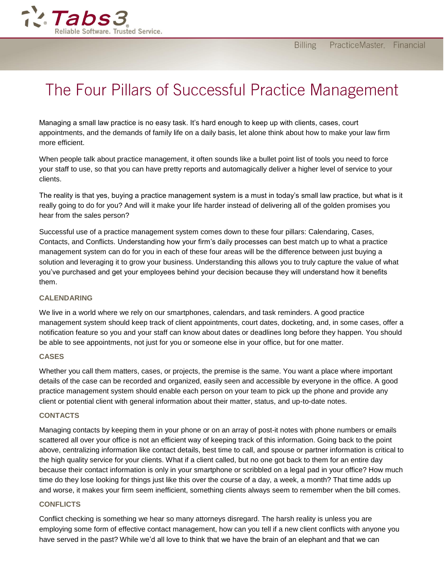

# The Four Pillars of Successful Practice Management

Managing a small law practice is no easy task. It's hard enough to keep up with clients, cases, court appointments, and the demands of family life on a daily basis, let alone think about how to make your law firm more efficient.

When people talk about practice management, it often sounds like a bullet point list of tools you need to force your staff to use, so that you can have pretty reports and automagically deliver a higher level of service to your clients.

The reality is that yes, buying a practice management system is a must in today's small law practice, but what is it really going to do for you? And will it make your life harder instead of delivering all of the golden promises you hear from the sales person?

Successful use of a practice management system comes down to these four pillars: Calendaring, Cases, Contacts, and Conflicts. Understanding how your firm's daily processes can best match up to what a practice management system can do for you in each of these four areas will be the difference between just buying a solution and leveraging it to grow your business. Understanding this allows you to truly capture the value of what you've purchased and get your employees behind your decision because they will understand how it benefits them.

# **CALENDARING**

We live in a world where we rely on our smartphones, calendars, and task reminders. A good practice management system should keep track of client appointments, court dates, docketing, and, in some cases, offer a notification feature so you and your staff can know about dates or deadlines long before they happen. You should be able to see appointments, not just for you or someone else in your office, but for one matter.

# **CASES**

Whether you call them matters, cases, or projects, the premise is the same. You want a place where important details of the case can be recorded and organized, easily seen and accessible by everyone in the office. A good practice management system should enable each person on your team to pick up the phone and provide any client or potential client with general information about their matter, status, and up-to-date notes.

#### **CONTACTS**

Managing contacts by keeping them in your phone or on an array of post-it notes with phone numbers or emails scattered all over your office is not an efficient way of keeping track of this information. Going back to the point above, centralizing information like contact details, best time to call, and spouse or partner information is critical to the high quality service for your clients. What if a client called, but no one got back to them for an entire day because their contact information is only in your smartphone or scribbled on a legal pad in your office? How much time do they lose looking for things just like this over the course of a day, a week, a month? That time adds up and worse, it makes your firm seem inefficient, something clients always seem to remember when the bill comes.

# **CONFLICTS**

Conflict checking is something we hear so many attorneys disregard. The harsh reality is unless you are employing some form of effective contact management, how can you tell if a new client conflicts with anyone you have served in the past? While we'd all love to think that we have the brain of an elephant and that we can